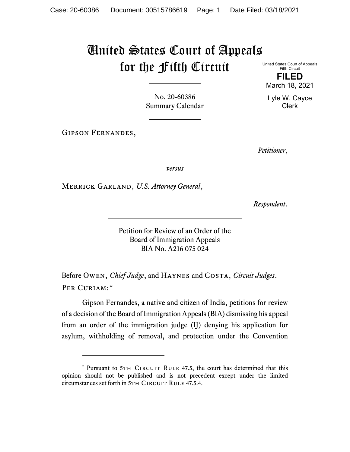## United States Court of Appeals for the Fifth Circuit

United States Court of Appeals Fifth Circuit **FILED**

March 18, 2021

Lyle W. Cayce Clerk

No. 20-60386 Summary Calendar

Gipson Fernandes,

*Petitioner*,

*versus*

Merrick Garland, *U.S. Attorney General*,

*Respondent*.

Petition for Review of an Order of the Board of Immigration Appeals BIA No. A216 075 024

Before Owen, *Chief Judge*, and Haynes and Costa, *Circuit Judges*. Per Curiam:[\\*](#page-0-0)

Gipson Fernandes, a native and citizen of India, petitions for review of a decision of the Board of Immigration Appeals (BIA) dismissing his appeal from an order of the immigration judge (IJ) denying his application for asylum, withholding of removal, and protection under the Convention

<span id="page-0-0"></span><sup>\*</sup> Pursuant to 5TH CIRCUIT RULE 47.5, the court has determined that this opinion should not be published and is not precedent except under the limited circumstances set forth in 5TH CIRCUIT RULE 47.5.4.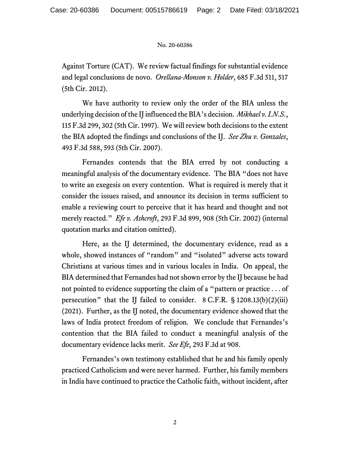## No. 20-60386

Against Torture (CAT). We review factual findings for substantial evidence and legal conclusions de novo. *Orellana-Monson v. Holder*, 685 F.3d 511, 517 (5th Cir. 2012).

We have authority to review only the order of the BIA unless the underlying decision of the IJ influenced the BIA's decision. *Mikhael v. I.N.S.*, 115 F.3d 299, 302 (5th Cir. 1997). We will review both decisions to the extent the BIA adopted the findings and conclusions of the IJ. *See Zhu v. Gonzales*, 493 F.3d 588, 593 (5th Cir. 2007).

Fernandes contends that the BIA erred by not conducting a meaningful analysis of the documentary evidence. The BIA "does not have to write an exegesis on every contention. What is required is merely that it consider the issues raised, and announce its decision in terms sufficient to enable a reviewing court to perceive that it has heard and thought and not merely reacted." *Efe v. Ashcroft*, 293 F.3d 899, 908 (5th Cir. 2002) (internal quotation marks and citation omitted).

Here, as the IJ determined, the documentary evidence, read as a whole, showed instances of "random" and "isolated" adverse acts toward Christians at various times and in various locales in India. On appeal, the BIA determined that Fernandes had not shown error by the IJ because he had not pointed to evidence supporting the claim of a "pattern or practice . . . of persecution" that the IJ failed to consider. 8 C.F.R. § 1208.13(b)(2)(iii) (2021). Further, as the IJ noted, the documentary evidence showed that the laws of India protect freedom of religion. We conclude that Fernandes's contention that the BIA failed to conduct a meaningful analysis of the documentary evidence lacks merit. *See Efe*, 293 F.3d at 908.

Fernandes's own testimony established that he and his family openly practiced Catholicism and were never harmed. Further, his family members in India have continued to practice the Catholic faith, without incident, after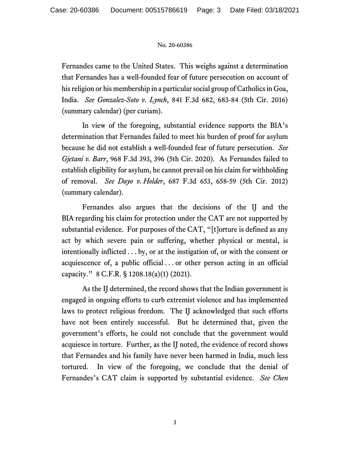## No. 20-60386

Fernandes came to the United States. This weighs against a determination that Fernandes has a well-founded fear of future persecution on account of his religion or his membership in a particular social group of Catholics in Goa, India. *See Gonzalez-Soto v. Lynch*, 841 F.3d 682, 683-84 (5th Cir. 2016) (summary calendar) (per curiam).

In view of the foregoing, substantial evidence supports the BIA's determination that Fernandes failed to meet his burden of proof for asylum because he did not establish a well-founded fear of future persecution. *See Gjetani v. Barr*, 968 F.3d 393, 396 (5th Cir. 2020). As Fernandes failed to establish eligibility for asylum, he cannot prevail on his claim for withholding of removal. *See Dayo v. Holder*, 687 F.3d 653, 658-59 (5th Cir. 2012) (summary calendar).

Fernandes also argues that the decisions of the IJ and the BIA regarding his claim for protection under the CAT are not supported by substantial evidence. For purposes of the CAT, "[t]orture is defined as any act by which severe pain or suffering, whether physical or mental, is intentionally inflicted . . . by, or at the instigation of, or with the consent or acquiescence of, a public official . . . or other person acting in an official capacity." 8 C.F.R. § 1208.18(a)(1) (2021).

As the IJ determined, the record shows that the Indian government is engaged in ongoing efforts to curb extremist violence and has implemented laws to protect religious freedom. The IJ acknowledged that such efforts have not been entirely successful. But he determined that, given the government's efforts, he could not conclude that the government would acquiesce in torture. Further, as the IJ noted, the evidence of record shows that Fernandes and his family have never been harmed in India, much less tortured. In view of the foregoing, we conclude that the denial of Fernandes's CAT claim is supported by substantial evidence. *See Chen*